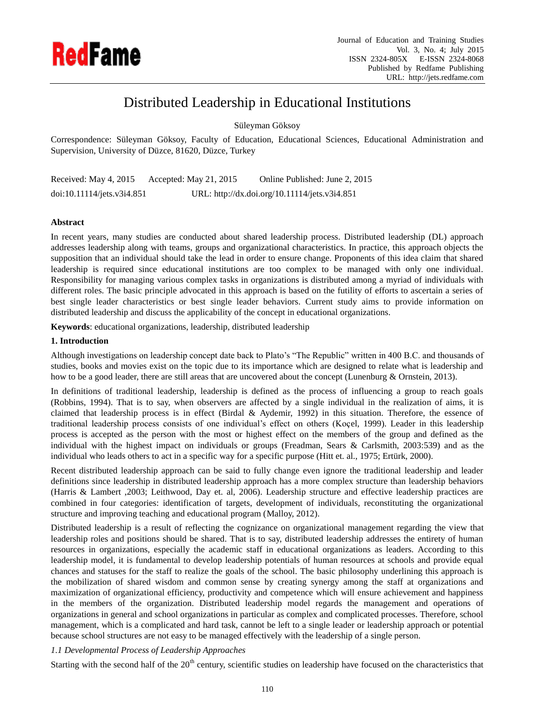

# Distributed Leadership in Educational Institutions

Süleyman Göksoy

Correspondence: Süleyman Göksoy, Faculty of Education, Educational Sciences, Educational Administration and Supervision, University of Düzce, 81620, Düzce, Turkey

Received: May 4, 2015 Accepted: May 21, 2015 Online Published: June 2, 2015 doi:10.11114/jets.v3i4.851 URL: http://dx.doi.org/10.11114/jets.v3i4.851

# **Abstract**

In recent years, many studies are conducted about shared leadership process. Distributed leadership (DL) approach addresses leadership along with teams, groups and organizational characteristics. In practice, this approach objects the supposition that an individual should take the lead in order to ensure change. Proponents of this idea claim that shared leadership is required since educational institutions are too complex to be managed with only one individual. Responsibility for managing various complex tasks in organizations is distributed among a myriad of individuals with different roles. The basic principle advocated in this approach is based on the futility of efforts to ascertain a series of best single leader characteristics or best single leader behaviors. Current study aims to provide information on distributed leadership and discuss the applicability of the concept in educational organizations.

**Keywords**: educational organizations, leadership, distributed leadership

# **1. Introduction**

Although investigations on leadership concept date back to Plato's "The Republic" written in 400 B.C. and thousands of studies, books and movies exist on the topic due to its importance which are designed to relate what is leadership and how to be a good leader, there are still areas that are uncovered about the concept (Lunenburg & Ornstein, 2013).

In definitions of traditional leadership, leadership is defined as the process of influencing a group to reach goals (Robbins, 1994). That is to say, when observers are affected by a single individual in the realization of aims, it is claimed that leadership process is in effect (Birdal & Aydemir, 1992) in this situation. Therefore, the essence of traditional leadership process consists of one individual's effect on others (Koçel, 1999). Leader in this leadership process is accepted as the person with the most or highest effect on the members of the group and defined as the individual with the highest impact on individuals or groups (Freadman, Sears & Carlsmith, 2003:539) and as the individual who leads others to act in a specific way for a specific purpose (Hitt et. al., 1975; Ertürk, 2000).

Recent distributed leadership approach can be said to fully change even ignore the traditional leadership and leader definitions since leadership in distributed leadership approach has a more complex structure than leadership behaviors (Harris & Lambert ,2003; Leithwood, Day et. al, 2006). Leadership structure and effective leadership practices are combined in four categories: identification of targets, development of individuals, reconstituting the organizational structure and improving teaching and educational program (Malloy, 2012).

Distributed leadership is a result of reflecting the cognizance on organizational management regarding the view that leadership roles and positions should be shared. That is to say, distributed leadership addresses the entirety of human resources in organizations, especially the academic staff in educational organizations as leaders. According to this leadership model, it is fundamental to develop leadership potentials of human resources at schools and provide equal chances and statuses for the staff to realize the goals of the school. The basic philosophy underlining this approach is the mobilization of shared wisdom and common sense by creating synergy among the staff at organizations and maximization of organizational efficiency, productivity and competence which will ensure achievement and happiness in the members of the organization. Distributed leadership model regards the management and operations of organizations in general and school organizations in particular as complex and complicated processes. Therefore, school management, which is a complicated and hard task, cannot be left to a single leader or leadership approach or potential because school structures are not easy to be managed effectively with the leadership of a single person.

## *1.1 Developmental Process of Leadership Approaches*

Starting with the second half of the  $20<sup>th</sup>$  century, scientific studies on leadership have focused on the characteristics that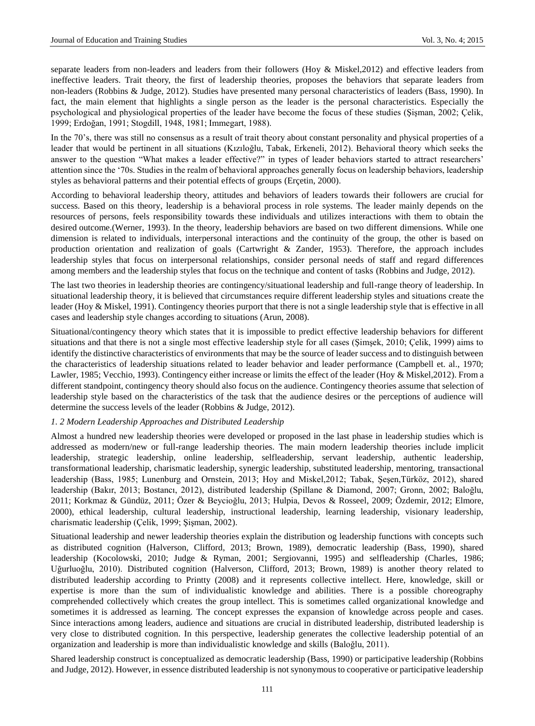separate leaders from non-leaders and leaders from their followers (Hoy & Miskel,2012) and effective leaders from ineffective leaders. Trait theory, the first of leadership theories, proposes the behaviors that separate leaders from non-leaders (Robbins & Judge, 2012). Studies have presented many personal characteristics of leaders (Bass, 1990). In fact, the main element that highlights a single person as the leader is the personal characteristics. Especially the psychological and physiological properties of the leader have become the focus of these studies (Şişman, 2002; Çelik, 1999; Erdoğan, 1991; Stogdill, 1948, 1981; Immegart, 1988).

In the 70's, there was still no consensus as a result of trait theory about constant personality and physical properties of a leader that would be pertinent in all situations (Kızıloğlu, Tabak, Erkeneli, 2012). Behavioral theory which seeks the answer to the question "What makes a leader effective?" in types of leader behaviors started to attract researchers' attention since the '70s. Studies in the realm of behavioral approaches generally focus on leadership behaviors, leadership styles as behavioral patterns and their potential effects of groups (Ergetin, 2000).

According to behavioral leadership theory, attitudes and behaviors of leaders towards their followers are crucial for success. Based on this theory, leadership is a behavioral process in role systems. The leader mainly depends on the resources of persons, feels responsibility towards these individuals and utilizes interactions with them to obtain the desired outcome.(Werner, 1993). In the theory, leadership behaviors are based on two different dimensions. While one dimension is related to individuals, interpersonal interactions and the continuity of the group, the other is based on production orientation and realization of goals (Cartwright & Zander, 1953). Therefore, the approach includes leadership styles that focus on interpersonal relationships, consider personal needs of staff and regard differences among members and the leadership styles that focus on the technique and content of tasks (Robbins and Judge, 2012).

The last two theories in leadership theories are contingency/situational leadership and full-range theory of leadership. In situational leadership theory, it is believed that circumstances require different leadership styles and situations create the leader (Hoy & Miskel, 1991). Contingency theories purport that there is not a single leadership style that is effective in all cases and leadership style changes according to situations (Arun, 2008).

Situational/contingency theory which states that it is impossible to predict effective leadership behaviors for different situations and that there is not a single most effective leadership style for all cases (Şimşek, 2010; Çelik, 1999) aims to identify the distinctive characteristics of environments that may be the source of leader success and to distinguish between the characteristics of leadership situations related to leader behavior and leader performance (Campbell et. al., 1970; Lawler, 1985; Vecchio, 1993). Contingency either increase or limits the effect of the leader (Hoy & Miskel,2012). From a different standpoint, contingency theory should also focus on the audience. Contingency theories assume that selection of leadership style based on the characteristics of the task that the audience desires or the perceptions of audience will determine the success levels of the leader (Robbins & Judge, 2012).

## *1. 2 Modern Leadership Approaches and Distributed Leadership*

Almost a hundred new leadership theories were developed or proposed in the last phase in leadership studies which is addressed as modern/new or full-range leadership theories. The main modern leadership theories include implicit leadership, strategic leadership, online leadership, selfleadership, servant leadership, authentic leadership, transformational leadership, charismatic leadership, synergic leadership, substituted leadership, mentoring, transactional leadership (Bass, 1985; Lunenburg and Ornstein, 2013; Hoy and Miskel,2012; Tabak, Şeşen,Türköz, 2012), shared leadership (Bakır, 2013; Bostancı, 2012), distributed leadership (Spillane & Diamond, 2007; Gronn, 2002; Baloğlu, 2011; Korkmaz & Gündüz, 2011; Özer & Beycioğlu, 2013; Hulpia, Devos & Rosseel, 2009; Özdemir, 2012; Elmore, 2000), ethical leadership, cultural leadership, instructional leadership, learning leadership, visionary leadership, charismatic leadership (Çelik, 1999; Şişman, 2002).

Situational leadership and newer leadership theories explain the distribution og leadership functions with concepts such as distributed cognition (Halverson, Clifford, 2013; Brown, 1989), democratic leadership (Bass, 1990), shared leadership (Kocolowski, 2010; Judge & Ryman, 2001; Sergiovanni, 1995) and selfleadership (Charles, 1986; Uğurluoğlu, 2010). Distributed cognition (Halverson, Clifford, 2013; Brown, 1989) is another theory related to distributed leadership according to Printty (2008) and it represents collective intellect. Here, knowledge, skill or expertise is more than the sum of individualistic knowledge and abilities. There is a possible choreography comprehended collectively which creates the group intellect. This is sometimes called organizational knowledge and sometimes it is addressed as learning. The concept expresses the expansion of knowledge across people and cases. Since interactions among leaders, audience and situations are crucial in distributed leadership, distributed leadership is very close to distributed cognition. In this perspective, leadership generates the collective leadership potential of an organization and leadership is more than individualistic knowledge and skills (Baloğlu, 2011).

Shared leadership construct is conceptualized as democratic leadership (Bass, 1990) or participative leadership (Robbins and Judge, 2012). However, in essence distributed leadership is not synonymous to cooperative or participative leadership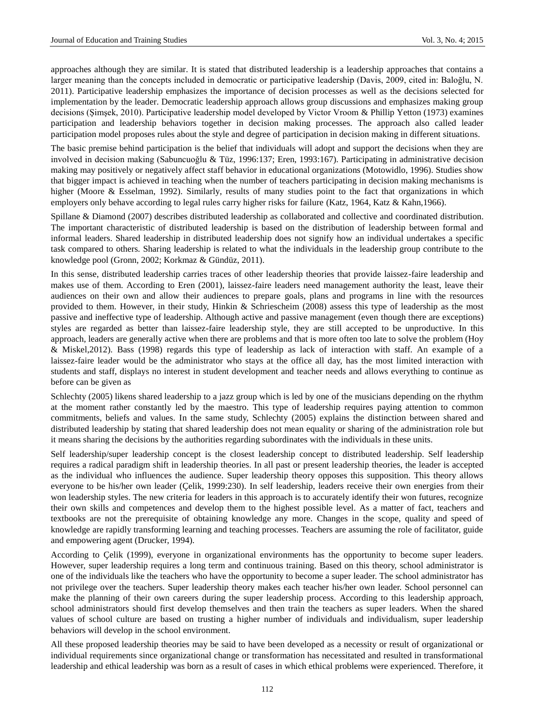approaches although they are similar. It is stated that distributed leadership is a leadership approaches that contains a larger meaning than the concepts included in democratic or participative leadership (Davis, 2009, cited in: Baloğlu, N. 2011). Participative leadership emphasizes the importance of decision processes as well as the decisions selected for implementation by the leader. Democratic leadership approach allows group discussions and emphasizes making group decisions (Şimşek, 2010). Participative leadership model developed by Victor Vroom & Phillip Yetton (1973) examines participation and leadership behaviors together in decision making processes. The approach also called leader participation model proposes rules about the style and degree of participation in decision making in different situations.

The basic premise behind participation is the belief that individuals will adopt and support the decisions when they are involved in decision making (Sabuncuoğlu & Tüz, 1996:137; Eren, 1993:167). Participating in administrative decision making may positively or negatively affect staff behavior in educational organizations (Motowidlo, 1996). Studies show that bigger impact is achieved in teaching when the number of teachers participating in decision making mechanisms is higher (Moore & Esselman, 1992). Similarly, results of many studies point to the fact that organizations in which employers only behave according to legal rules carry higher risks for failure (Katz, 1964, Katz & Kahn,1966).

Spillane & Diamond (2007) describes distributed leadership as collaborated and collective and coordinated distribution. The important characteristic of distributed leadership is based on the distribution of leadership between formal and informal leaders. Shared leadership in distributed leadership does not signify how an individual undertakes a specific task compared to others. Sharing leadership is related to what the individuals in the leadership group contribute to the knowledge pool (Gronn, 2002; Korkmaz & Gündüz, 2011).

In this sense, distributed leadership carries traces of other leadership theories that provide laissez-faire leadership and makes use of them. According to Eren (2001), laissez-faire leaders need management authority the least, leave their audiences on their own and allow their audiences to prepare goals, plans and programs in line with the resources provided to them. However, in their study, Hinkin & Schriescheim (2008) assess this type of leadership as the most passive and ineffective type of leadership. Although active and passive management (even though there are exceptions) styles are regarded as better than laissez-faire leadership style, they are still accepted to be unproductive. In this approach, leaders are generally active when there are problems and that is more often too late to solve the problem (Hoy & Miskel,2012). Bass (1998) regards this type of leadership as lack of interaction with staff. An example of a laissez-faire leader would be the administrator who stays at the office all day, has the most limited interaction with students and staff, displays no interest in student development and teacher needs and allows everything to continue as before can be given as

Schlechty (2005) likens shared leadership to a jazz group which is led by one of the musicians depending on the rhythm at the moment rather constantly led by the maestro. This type of leadership requires paying attention to common commitments, beliefs and values. In the same study, Schlechty (2005) explains the distinction between shared and distributed leadership by stating that shared leadership does not mean equality or sharing of the administration role but it means sharing the decisions by the authorities regarding subordinates with the individuals in these units.

Self leadership/super leadership concept is the closest leadership concept to distributed leadership. Self leadership requires a radical paradigm shift in leadership theories. In all past or present leadership theories, the leader is accepted as the individual who influences the audience. Super leadership theory opposes this supposition. This theory allows everyone to be his/her own leader (Çelik, 1999:230). In self leadership, leaders receive their own energies from their won leadership styles. The new criteria for leaders in this approach is to accurately identify their won futures, recognize their own skills and competences and develop them to the highest possible level. As a matter of fact, teachers and textbooks are not the prerequisite of obtaining knowledge any more. Changes in the scope, quality and speed of knowledge are rapidly transforming learning and teaching processes. Teachers are assuming the role of facilitator, guide and empowering agent (Drucker, 1994).

According to Çelik (1999), everyone in organizational environments has the opportunity to become super leaders. However, super leadership requires a long term and continuous training. Based on this theory, school administrator is one of the individuals like the teachers who have the opportunity to become a super leader. The school administrator has not privilege over the teachers. Super leadership theory makes each teacher his/her own leader. School personnel can make the planning of their own careers during the super leadership process. According to this leadership approach, school administrators should first develop themselves and then train the teachers as super leaders. When the shared values of school culture are based on trusting a higher number of individuals and individualism, super leadership behaviors will develop in the school environment.

All these proposed leadership theories may be said to have been developed as a necessity or result of organizational or individual requirements since organizational change or transformation has necessitated and resulted in transformational leadership and ethical leadership was born as a result of cases in which ethical problems were experienced. Therefore, it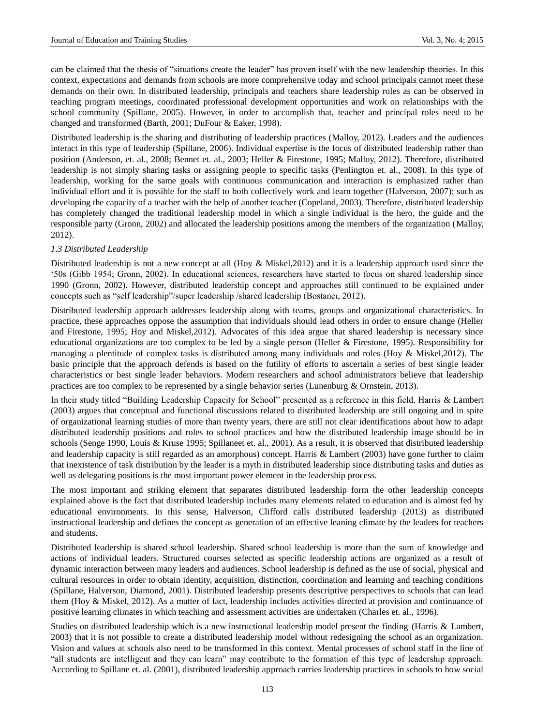can be claimed that the thesis of "situations create the leader" has proven itself with the new leadership theories. In this context, expectations and demands from schools are more comprehensive today and school principals cannot meet these demands on their own. In distributed leadership, principals and teachers share leadership roles as can be observed in teaching program meetings, coordinated professional development opportunities and work on relationships with the school community (Spillane, 2005). However, in order to accomplish that, teacher and principal roles need to be changed and transformed (Barth, 2001; DuFour & Eaker, 1998).

Distributed leadership is the sharing and distributing of leadership practices (Malloy, 2012). Leaders and the audiences interact in this type of leadership (Spillane, 2006). Individual expertise is the focus of distributed leadership rather than position (Anderson, et. al., 2008; Bennet et. al., 2003; Heller & Firestone, 1995; Malloy, 2012). Therefore, distributed leadership is not simply sharing tasks or assigning people to specific tasks (Penlington et. al., 2008). In this type of leadership, working for the same goals with continuous communication and interaction is emphasized rather than individual effort and it is possible for the staff to both collectively work and learn together (Halverson, 2007); such as developing the capacity of a teacher with the help of another teacher (Copeland, 2003). Therefore, distributed leadership has completely changed the traditional leadership model in which a single individual is the hero, the guide and the responsible party (Gronn, 2002) and allocated the leadership positions among the members of the organization (Malloy, 2012).

#### *1.3 Distributed Leadership*

Distributed leadership is not a new concept at all (Hoy & Miskel, 2012) and it is a leadership approach used since the '50s (Gibb 1954; Gronn, 2002). In educational sciences, researchers have started to focus on shared leadership since 1990 (Gronn, 2002). However, distributed leadership concept and approaches still continued to be explained under concepts such as "self leadership"/super leadership /shared leadership (Bostancı, 2012).

Distributed leadership approach addresses leadership along with teams, groups and organizational characteristics. In practice, these approaches oppose the assumption that individuals should lead others in order to ensure change (Heller and Firestone, 1995; Hoy and Miskel,2012). Advocates of this idea argue that shared leadership is necessary since educational organizations are too complex to be led by a single person (Heller & Firestone, 1995). Responsibility for managing a plentitude of complex tasks is distributed among many individuals and roles (Hoy & Miskel,2012). The basic principle that the approach defends is based on the futility of efforts to ascertain a series of best single leader characteristics or best single leader behaviors. Modern researchers and school administrators believe that leadership practices are too complex to be represented by a single behavior series (Lunenburg & Ornstein, 2013).

In their study titled "Building Leadership Capacity for School" presented as a reference in this field, Harris & Lambert (2003) argues that conceptual and functional discussions related to distributed leadership are still ongoing and in spite of organizational learning studies of more than twenty years, there are still not clear identifications about how to adapt distributed leadership positions and roles to school practices and how the distributed leadership image should be in schools (Senge 1990, Louis & Kruse 1995; Spillaneet et. al., 2001). As a result, it is observed that distributed leadership and leadership capacity is still regarded as an amorphous) concept. Harris & Lambert (2003) have gone further to claim that inexistence of task distribution by the leader is a myth in distributed leadership since distributing tasks and duties as well as delegating positions is the most important power element in the leadership process.

The most important and striking element that separates distributed leadership form the other leadership concepts explained above is the fact that distributed leadership includes many elements related to education and is almost fed by educational environments. In this sense, Halverson, Clifford calls distributed leadership (2013) as distributed instructional leadership and defines the concept as generation of an effective leaning climate by the leaders for teachers and students.

Distributed leadership is shared school leadership. Shared school leadership is more than the sum of knowledge and actions of individual leaders. Structured courses selected as specific leadership actions are organized as a result of dynamic interaction between many leaders and audiences. School leadership is defined as the use of social, physical and cultural resources in order to obtain identity, acquisition, distinction, coordination and learning and teaching conditions (Spillane, Halverson, Diamond, 2001). Distributed leadership presents descriptive perspectives to schools that can lead them (Hoy & Miskel, 2012). As a matter of fact, leadership includes activities directed at provision and continuance of positive learning climates in which teaching and assessment activities are undertaken (Charles et. al., 1996).

Studies on distributed leadership which is a new instructional leadership model present the finding (Harris & Lambert, 2003) that it is not possible to create a distributed leadership model without redesigning the school as an organization. Vision and values at schools also need to be transformed in this context. Mental processes of school staff in the line of "all students are intelligent and they can learn" may contribute to the formation of this type of leadership approach. According to Spillane et. al. (2001), distributed leadership approach carries leadership practices in schools to how social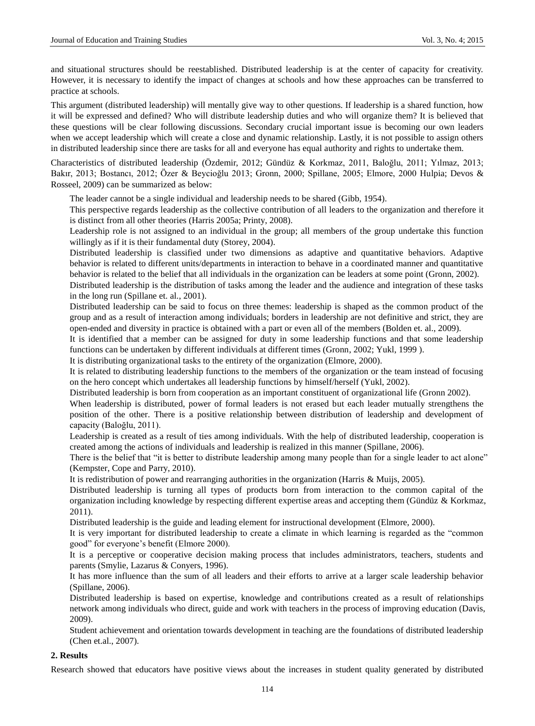and situational structures should be reestablished. Distributed leadership is at the center of capacity for creativity. However, it is necessary to identify the impact of changes at schools and how these approaches can be transferred to practice at schools.

This argument (distributed leadership) will mentally give way to other questions. If leadership is a shared function, how it will be expressed and defined? Who will distribute leadership duties and who will organize them? It is believed that these questions will be clear following discussions. Secondary crucial important issue is becoming our own leaders when we accept leadership which will create a close and dynamic relationship. Lastly, it is not possible to assign others in distributed leadership since there are tasks for all and everyone has equal authority and rights to undertake them.

Characteristics of distributed leadership (Özdemir, 2012; Gündüz & Korkmaz, 2011, Baloğlu, 2011; Yılmaz, 2013; Bakır, 2013; Bostancı, 2012; Özer & Beycioğlu 2013; Gronn, 2000; Spillane, 2005; Elmore, 2000 Hulpia; Devos & Rosseel, 2009) can be summarized as below:

The leader cannot be a single individual and leadership needs to be shared (Gibb, 1954).

This perspective regards leadership as the collective contribution of all leaders to the organization and therefore it is distinct from all other theories (Harris 2005a; Printy, 2008).

Leadership role is not assigned to an individual in the group; all members of the group undertake this function willingly as if it is their fundamental duty (Storey, 2004).

Distributed leadership is classified under two dimensions as adaptive and quantitative behaviors. Adaptive behavior is related to different units/departments in interaction to behave in a coordinated manner and quantitative behavior is related to the belief that all individuals in the organization can be leaders at some point (Gronn, 2002).

Distributed leadership is the distribution of tasks among the leader and the audience and integration of these tasks in the long run (Spillane et. al., 2001).

Distributed leadership can be said to focus on three themes: leadership is shaped as the common product of the group and as a result of interaction among individuals; borders in leadership are not definitive and strict, they are open-ended and diversity in practice is obtained with a part or even all of the members (Bolden et. al., 2009).

It is identified that a member can be assigned for duty in some leadership functions and that some leadership functions can be undertaken by different individuals at different times (Gronn, 2002; Yukl, 1999 ).

It is distributing organizational tasks to the entirety of the organization (Elmore, 2000).

It is related to distributing leadership functions to the members of the organization or the team instead of focusing on the hero concept which undertakes all leadership functions by himself/herself (Yukl, 2002).

Distributed leadership is born from cooperation as an important constituent of organizational life (Gronn 2002).

When leadership is distributed, power of formal leaders is not erased but each leader mutually strengthens the position of the other. There is a positive relationship between distribution of leadership and development of capacity (Baloğlu, 2011).

Leadership is created as a result of ties among individuals. With the help of distributed leadership, cooperation is created among the actions of individuals and leadership is realized in this manner (Spillane, 2006).

There is the belief that "it is better to distribute leadership among many people than for a single leader to act alone" (Kempster, Cope and Parry, 2010).

It is redistribution of power and rearranging authorities in the organization (Harris & Muijs, 2005).

Distributed leadership is turning all types of products born from interaction to the common capital of the organization including knowledge by respecting different expertise areas and accepting them (Gündüz & Korkmaz, 2011).

Distributed leadership is the guide and leading element for instructional development (Elmore, 2000).

It is very important for distributed leadership to create a climate in which learning is regarded as the "common good" for everyone's benefit (Elmore 2000).

It is a perceptive or cooperative decision making process that includes administrators, teachers, students and parents (Smylie, Lazarus & Conyers, 1996).

It has more influence than the sum of all leaders and their efforts to arrive at a larger scale leadership behavior (Spillane, 2006).

Distributed leadership is based on expertise, knowledge and contributions created as a result of relationships network among individuals who direct, guide and work with teachers in the process of improving education (Davis, 2009).

Student achievement and orientation towards development in teaching are the foundations of distributed leadership (Chen et.al., 2007).

### **2. Results**

Research showed that educators have positive views about the increases in student quality generated by distributed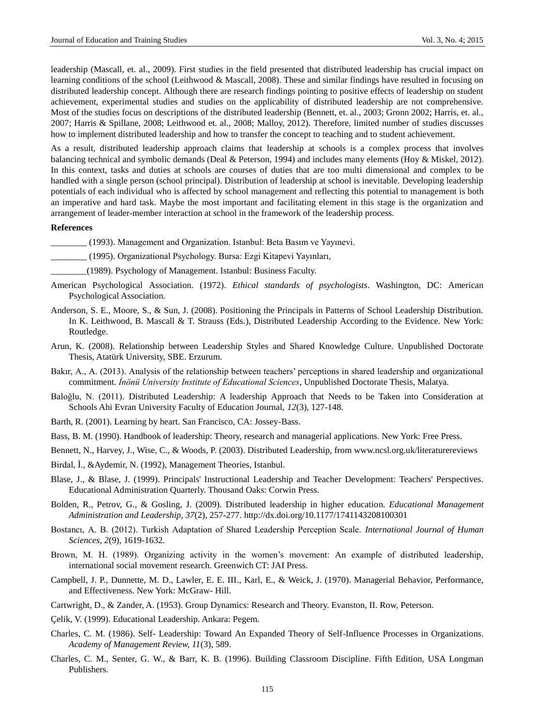leadership (Mascall, et. al., 2009). First studies in the field presented that distributed leadership has crucial impact on learning conditions of the school (Leithwood & Mascall, 2008). These and similar findings have resulted in focusing on distributed leadership concept. Although there are research findings pointing to positive effects of leadership on student achievement, experimental studies and studies on the applicability of distributed leadership are not comprehensive. Most of the studies focus on descriptions of the distributed leadership (Bennett, et. al., 2003; Gronn 2002; Harris, et. al., 2007; Harris & Spillane, 2008; Leithwood et. al., 2008; Malloy, 2012). Therefore, limited number of studies discusses how to implement distributed leadership and how to transfer the concept to teaching and to student achievement.

As a result, distributed leadership approach claims that leadership at schools is a complex process that involves balancing technical and symbolic demands (Deal & Peterson, 1994) and includes many elements (Hoy & Miskel, 2012). In this context, tasks and duties at schools are courses of duties that are too multi dimensional and complex to be handled with a single person (school principal). Distribution of leadership at school is inevitable. Developing leadership potentials of each individual who is affected by school management and reflecting this potential to management is both an imperative and hard task. Maybe the most important and facilitating element in this stage is the organization and arrangement of leader-member interaction at school in the framework of the leadership process.

#### **References**

\_\_\_\_\_\_\_\_ (1993). Management and Organization. Istanbul: Beta Basım ve Yayınevi.

- \_\_\_\_\_\_\_\_ (1995). Organizational Psychology. Bursa: Ezgi Kitapevi Yayınları,
- \_\_\_\_\_\_\_\_(1989). Psychology of Management. Istanbul: Business Faculty.
- American Psychological Association. (1972). *Ethical standards of psychologists*. Washington, DC: American Psychological Association.
- Anderson, S. E., Moore, S., & Sun, J. (2008). Positioning the Principals in Patterns of School Leadership Distribution. In K. Leithwood, B. Mascall & T. Strauss (Eds.), Distributed Leadership According to the Evidence. New York: Routledge.
- Arun, K. (2008). Relationship between Leadership Styles and Shared Knowledge Culture. Unpublished Doctorate Thesis, Atatürk University, SBE. Erzurum.
- Bakır, A., A. (2013). Analysis of the relationship between teachers' perceptions in shared leadership and organizational commitment. *İnönü University Institute of Educational Sciences*, Unpublished Doctorate Thesis, Malatya.
- Baloğlu, N. (2011). Distributed Leadership: A leadership Approach that Needs to be Taken into Consideration at Schools Ahi Evran University Faculty of Education Journal, *12*(3), 127-148.
- Barth, R. (2001). Learning by heart. San Francisco, CA: Jossey-Bass.
- Bass, B. M. (1990). Handbook of leadership: Theory, research and managerial applications. New York: Free Press.
- Bennett, N., Harvey, J., Wise, C., & Woods, P. (2003). Distributed Leadership, from www.ncsl.org.uk/literaturereviews
- Birdal, İ., &Aydemir, N. (1992), Management Theories, Istanbul.
- Blase, J., & Blase, J. (1999). Principals' Instructional Leadership and Teacher Development: Teachers' Perspectives. Educational Administration Quarterly. Thousand Oaks: Corwin Press.
- Bolden, R., Petrov, G., & Gosling, J. (2009). Distributed leadership in higher education. *Educational Management Administration and Leadership, 37*(2), 257-277. http://dx.doi.org/10.1177/1741143208100301
- Bostancı, A. B. (2012). Turkish Adaptation of Shared Leadership Perception Scale. *International Journal of Human Sciences*, *2*(9), 1619-1632.
- Brown, M. H. (1989). Organizing activity in the women's movement: An example of distributed leadership, international social movement research. Greenwich CT: JAI Press.
- Campbell, J. P., Dunnette, M. D., Lawler, E. E. III., Karl, E., & Weick, J. (1970). Managerial Behavior, Performance, and Effectiveness. New York: McGraw- Hill.
- Cartwright, D., & Zander, A. (1953). Group Dynamics: Research and Theory. Evanston, II. Row, Peterson.
- Çelik, V. (1999). Educational Leadership. Ankara: Pegem.
- Charles, C. M. (1986). Self- Leadership: Toward An Expanded Theory of Self-Influence Processes in Organizations. *Academy of Management Review, 11*(3), 589.
- Charles, C. M., Senter, G. W., & Barr, K. B. (1996). Building Classroom Discipline. Fifth Edition, USA Longman Publishers.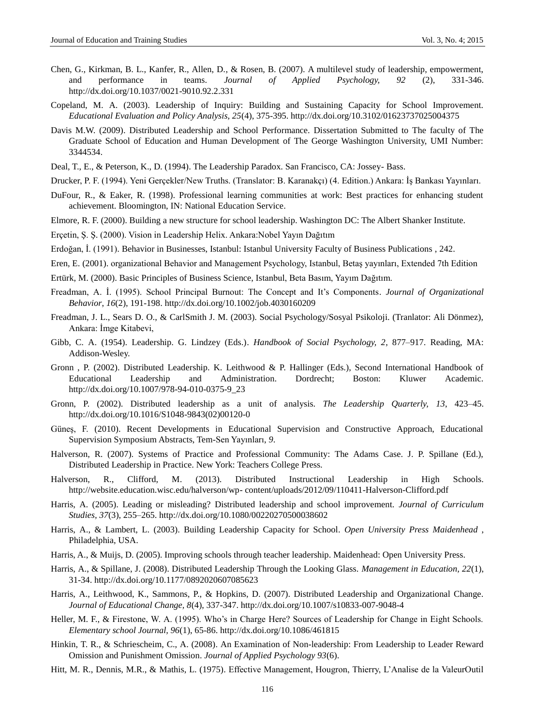- Chen, G., Kirkman, B. L., Kanfer, R., Allen, D., & Rosen, B. (2007). A multilevel study of leadership, empowerment, and performance in teams. *Journal of Applied Psychology, 92* (2), 331-346. http://dx.doi.org/10.1037/0021-9010.92.2.331
- Copeland, M. A. (2003). Leadership of Inquiry: Building and Sustaining Capacity for School Improvement. *Educational Evaluation and Policy Analysis, 25*(4), 375-395. http://dx.doi.org/10.3102/01623737025004375
- Davis M.W. (2009). Distributed Leadership and School Performance. Dissertation Submitted to The faculty of The Graduate School of Education and Human Development of The George Washington University, UMI Number: 3344534.
- Deal, T., E., & Peterson, K., D. (1994). The Leadership Paradox. San Francisco, CA: Jossey- Bass.
- Drucker, P. F. (1994). Yeni Gerçekler/New Truths. (Translator: B. Karanakçı) (4. Edition.) Ankara: İş Bankası Yayınları.
- DuFour, R., & Eaker, R. (1998). Professional learning communities at work: Best practices for enhancing student achievement. Bloomington, IN: National Education Service.
- Elmore, R. F. (2000). Building a new structure for school leadership. Washington DC: The Albert Shanker Institute.
- Erçetin, Ş. Ş. (2000). Vision in Leadership Helix. Ankara:Nobel Yayın Dağıtım
- Erdoğan, İ. (1991). Behavior in Businesses, Istanbul: Istanbul University Faculty of Business Publications , 242.
- Eren, E. (2001). organizational Behavior and Management Psychology, Istanbul, Betaş yayınları, Extended 7th Edition
- Ertürk, M. (2000). Basic Principles of Business Science, Istanbul, Beta Basım, Yayım Dağıtım.
- Freadman, A. İ. (1995). School Principal Burnout: The Concept and It's Components. *Journal of Organizational Behavior*, *16*(2), 191-198. http://dx.doi.org/10.1002/job.4030160209
- Freadman, J. L., Sears D. O., & CarlSmith J. M. (2003). Social Psychology/Sosyal Psikoloji. (Tranlator: Ali Dönmez), Ankara: İmge Kitabevi,
- Gibb, C. A. (1954). Leadership. G. Lindzey (Eds.). *Handbook of Social Psychology, 2*, 877–917. Reading, MA: Addison-Wesley.
- Gronn , P. (2002). Distributed Leadership. K. Leithwood & P. Hallinger (Eds.), Second International Handbook of Educational Leadership and Administration. Dordrecht; Boston: Kluwer Academic. http://dx.doi.org/10.1007/978-94-010-0375-9\_23
- Gronn, P. (2002). Distributed leadership as a unit of analysis. *The Leadership Quarterly, 13*, 423–45. http://dx.doi.org/10.1016/S1048-9843(02)00120-0
- Güneş, F. (2010). Recent Developments in Educational Supervision and Constructive Approach, Educational Supervision Symposium Abstracts, Tem-Sen Yayınları, *9*.
- Halverson, R. (2007). Systems of Practice and Professional Community: The Adams Case. J. P. Spillane (Ed.), Distributed Leadership in Practice. New York: Teachers College Press.
- Halverson, R., Clifford, M. (2013). Distributed Instructional Leadership in High Schools. http://website.education.wisc.edu/halverson/wp- [content/uploads/2012/09/110411-Halverson-Clifford.pdf](http://website.education.wisc.edu/halverson/wp-%20content/uploads/2012/09/110411-Halverson-Clifford.pdf)
- Harris, A. (2005). Leading or misleading? Distributed leadership and school improvement. *Journal of Curriculum Studies, 37*(3), 255–265. http://dx.doi.org/10.1080/00220270500038602
- Harris, A., & Lambert, L. (2003). Building Leadership Capacity for School. *Open University Press Maidenhead* , Philadelphia, USA.
- Harris, A., & Muijs, D. (2005). Improving schools through teacher leadership. Maidenhead: Open University Press.
- Harris, A., & Spillane, J. (2008). Distributed Leadership Through the Looking Glass. *Management in Education, 22*(1), 31-34. http://dx.doi.org/10.1177/0892020607085623
- Harris, A., Leithwood, K., Sammons, P., & Hopkins, D. (2007). Distributed Leadership and Organizational Change. *Journal of Educational Change, 8*(4), 337-347. http://dx.doi.org/10.1007/s10833-007-9048-4
- Heller, M. F., & Firestone, W. A. (1995). Who's in Charge Here? Sources of Leadership for Change in Eight Schools. *Elementary school Journal, 96*(1), 65-86. http://dx.doi.org/10.1086/461815
- Hinkin, T. R., & Schriescheim, C., A. (2008). An Examination of Non-leadership: From Leadership to Leader Reward Omission and Punishment Omission. *Journal of Applied Psychology 93*(6).
- Hitt, M. R., Dennis, M.R., & Mathis, L. (1975). Effective Management, Hougron, Thierry, L'Analise de la ValeurOutil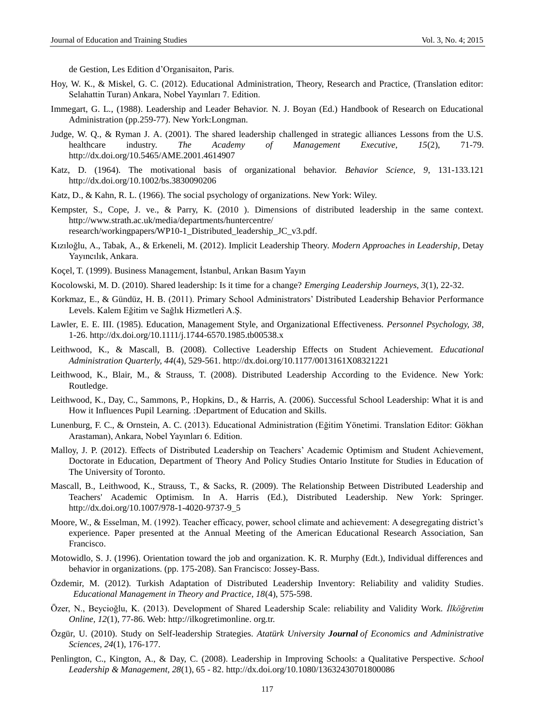de Gestion, Les Edition d'Organisaiton, Paris.

- Hoy, W. K., & Miskel, G. C. (2012). Educational Administration, Theory, Research and Practice, (Translation editor: Selahattin Turan) Ankara, Nobel Yayınları 7. Edition.
- Immegart, G. L., (1988). Leadership and Leader Behavior. N. J. Boyan (Ed.) Handbook of Research on Educational Administration (pp.259-77). New York:Longman.
- Judge, W. Q., & Ryman J. A. (2001). The shared leadership challenged in strategic alliances Lessons from the U.S. healthcare industry. *The Academy of Management Executive, 15*(2), 71-79. http://dx.doi.org/10.5465/AME.2001.4614907
- Katz, D. (1964). The motivational basis of organizational behavior. *Behavior Science, 9*, 131-133.121 http://dx.doi.org/10.1002/bs.3830090206
- Katz, D., & Kahn, R. L. (1966). The social psychology of organizations. New York: Wiley.
- Kempster, S., Cope, J. ve., & Parry, K. (2010 ). Dimensions of distributed leadership in the same context. <http://www.strath.ac.uk/media/departments/huntercentre/> research/workingpapers/WP10-1\_Distributed\_leadership\_JC\_v3.pdf.
- Kızıloğlu, A., Tabak, A., & Erkeneli, M. (2012). Implicit Leadership Theory. *Modern Approaches in Leadership*, Detay Yayıncılık, Ankara.
- Koçel, T. (1999). Business Management, İstanbul, Arıkan Basım Yayın
- Kocolowski, M. D. (2010). Shared leadership: Is it time for a change? *Emerging Leadership Journeys, 3*(1), 22-32.
- Korkmaz, E., & Gündüz, H. B. (2011). Primary School Administrators' Distributed Leadership Behavior Performance Levels. Kalem Eğitim ve Sağlık Hizmetleri A.Ş.
- Lawler, E. E. III. (1985). Education, Management Style, and Organizational Effectiveness. *Personnel Psychology, 38*, 1-26. http://dx.doi.org/10.1111/j.1744-6570.1985.tb00538.x
- Leithwood, K., & Mascall, B. (2008). Collective Leadership Effects on Student Achievement. *Educational Administration Quarterly, 44*(4), 529-561. http://dx.doi.org/10.1177/0013161X08321221
- Leithwood, K., Blair, M., & Strauss, T. (2008). Distributed Leadership According to the Evidence. New York: Routledge.
- Leithwood, K., Day, C., Sammons, P., Hopkins, D., & Harris, A. (2006). Successful School Leadership: What it is and How it Influences Pupil Learning. :Department of Education and Skills.
- Lunenburg, F. C., & Ornstein, A. C. (2013). Educational Administration (Eğitim Yönetimi. Translation Editor: Gökhan Arastaman), Ankara, Nobel Yayınları 6. Edition.
- Malloy, J. P. (2012). Effects of Distributed Leadership on Teachers' Academic Optimism and Student Achievement, Doctorate in Education, Department of Theory And Policy Studies Ontario Institute for Studies in Education of The University of Toronto.
- Mascall, B., Leithwood, K., Strauss, T., & Sacks, R. (2009). The Relationship Between Distributed Leadership and Teachers' Academic Optimism. In A. Harris (Ed.), Distributed Leadership. New York: Springer. http://dx.doi.org/10.1007/978-1-4020-9737-9\_5
- Moore, W., & Esselman, M. (1992). Teacher efficacy, power, school climate and achievement: A desegregating district's experience. Paper presented at the Annual Meeting of the American Educational Research Association, San Francisco.
- Motowidlo, S. J. (1996). Orientation toward the job and organization. K. R. Murphy (Edt.), Individual differences and behavior in organizations. (pp. 175-208). San Francisco: Jossey-Bass.
- Özdemir, M. (2012). Turkish Adaptation of Distributed Leadership Inventory: Reliability and validity Studies. *Educational Management in Theory and Practice, 18*(4), 575-598.
- Özer, N., Beycioğlu, K. (2013). Development of Shared Leadership Scale: reliability and Validity Work. *İlköğretim Online, 12*(1), 77-86. Web: [http://ilkogretimonline.](http://ilkogretimonline/) org.tr.
- Özgür, U. (2010). Study on Self-leadership Strategies. *Atatürk University Journal of Economics and Administrative Sciences, 24*(1), 176-177.
- Penlington, C., Kington, A., & Day, C. (2008). Leadership in Improving Schools: a Qualitative Perspective. *School Leadership & Management, 28*(1), 65 - 82. http://dx.doi.org/10.1080/13632430701800086